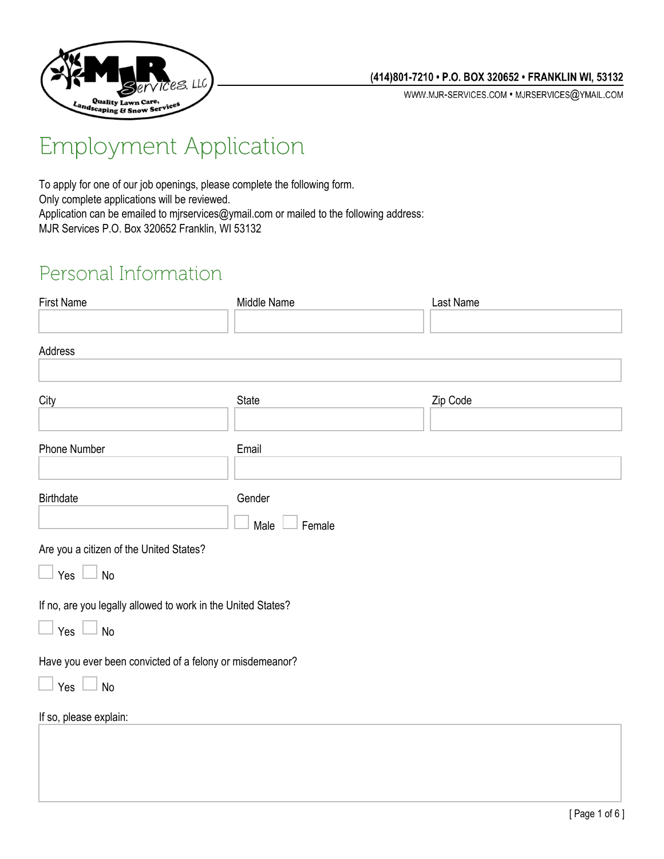

WWW.MJR-SERVICES.COM • MJRSERVICES@YMAIL.COM

# **Employment Application**

To apply for one of our job openings, please complete the following form. Only complete applications will be reviewed. Application can be emailed to mjrservices@ymail.com or mailed to the following address: MJR Services P.O. Box 320652 Franklin, WI 53132

## Personal Information

| <b>First Name</b>                                            | Middle Name    | Last Name |  |  |  |
|--------------------------------------------------------------|----------------|-----------|--|--|--|
|                                                              |                |           |  |  |  |
| Address                                                      |                |           |  |  |  |
| City                                                         | State          | Zip Code  |  |  |  |
| Phone Number                                                 | Email          |           |  |  |  |
|                                                              |                |           |  |  |  |
| <b>Birthdate</b>                                             | Gender         |           |  |  |  |
|                                                              | Female<br>Male |           |  |  |  |
|                                                              |                |           |  |  |  |
| Are you a citizen of the United States?                      |                |           |  |  |  |
| Yes $\Box$ No                                                |                |           |  |  |  |
| If no, are you legally allowed to work in the United States? |                |           |  |  |  |
| Yes $\Box$ No                                                |                |           |  |  |  |
|                                                              |                |           |  |  |  |
| Have you ever been convicted of a felony or misdemeanor?     |                |           |  |  |  |
| Yes<br>⊥ No                                                  |                |           |  |  |  |
| If so, please explain:                                       |                |           |  |  |  |
|                                                              |                |           |  |  |  |
|                                                              |                |           |  |  |  |
|                                                              |                |           |  |  |  |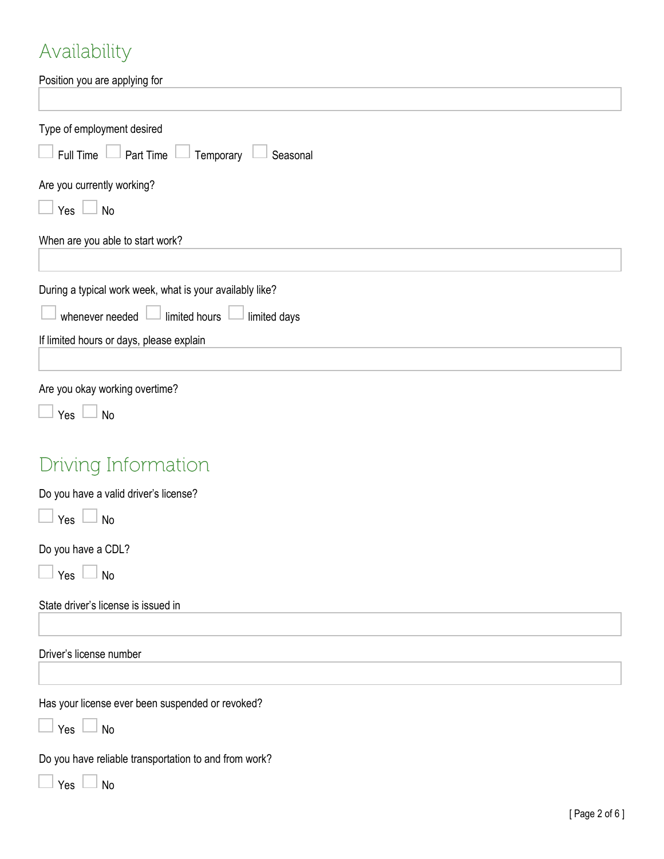# Availability

| Position you are applying for                            |
|----------------------------------------------------------|
|                                                          |
| Type of employment desired                               |
| ∫ Part Time<br>Full Time<br>Temporary<br>Seasonal        |
| Are you currently working?                               |
| Yes<br>No                                                |
| When are you able to start work?                         |
|                                                          |
| During a typical work week, what is your availably like? |
| limited hours<br>whenever needed<br>limited days         |
| If limited hours or days, please explain                 |
|                                                          |
| Are you okay working overtime?                           |
| Yes<br>No                                                |
|                                                          |
| Driving Information                                      |
| Do you have a valid driver's license?                    |
| Yes<br>No                                                |
| Do you have a CDL?                                       |
| Yes<br><b>No</b>                                         |
| State driver's license is issued in                      |
|                                                          |
| Driver's license number                                  |
|                                                          |
| Has your license ever been suspended or revoked?         |
| Yes<br><b>No</b>                                         |
|                                                          |

Do you have reliable transportation to and from work?

 $\Box$  Yes  $\Box$  No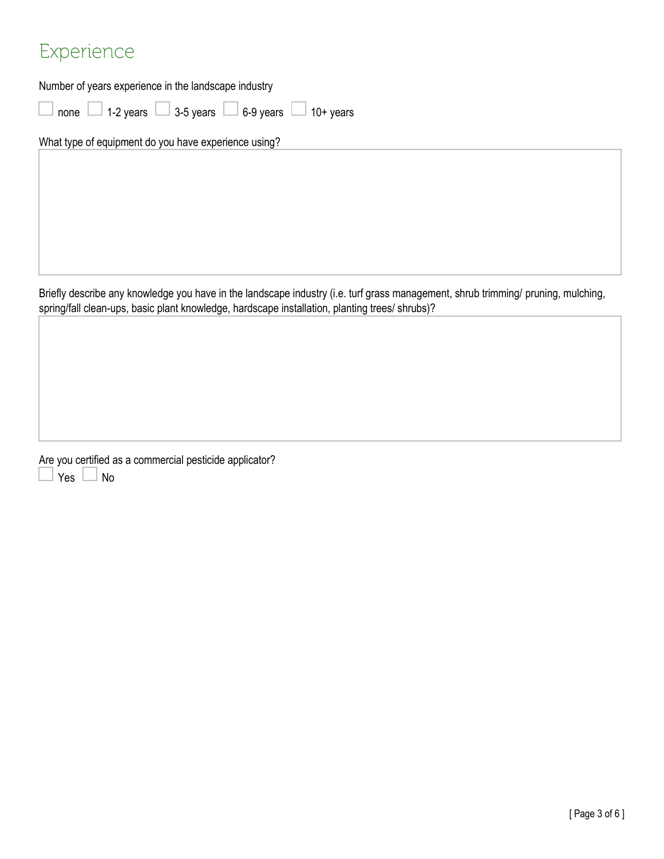## Experience

Number of years experience in the landscape industry

none  $\Box$  1-2 years  $\Box$  3-5 years  $\Box$  6-9 years  $\Box$  10+ years

#### What type of equipment do you have experience using?

Briefly describe any knowledge you have in the landscape industry (i.e. turf grass management, shrub trimming/ pruning, mulching, spring/fall clean-ups, basic plant knowledge, hardscape installation, planting trees/ shrubs)?

Are you certified as a commercial pesticide applicator?  $\overline{\phantom{a}}$  Yes  $\overline{\phantom{a}}$  No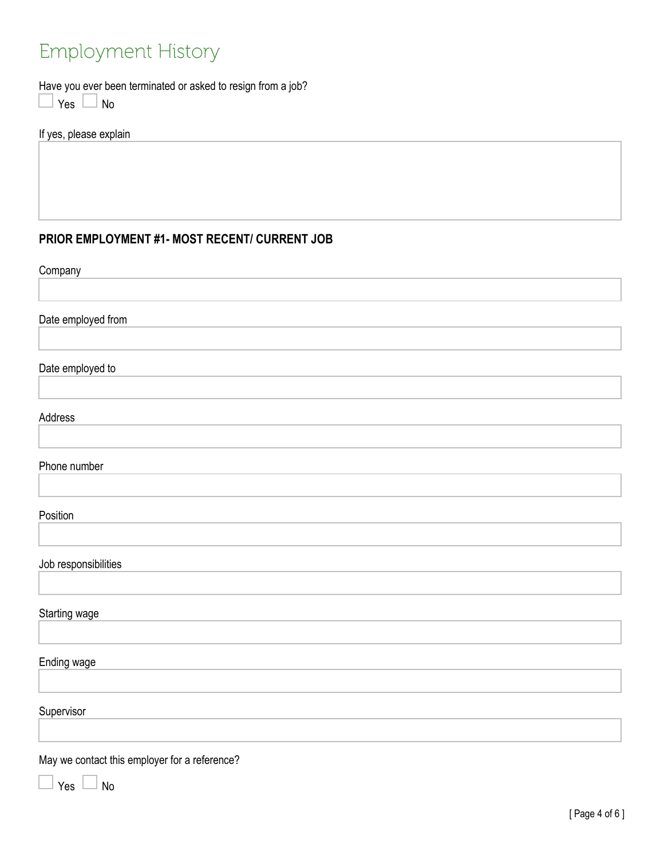## Employment History

Have you ever been terminated or asked to resign from a job?  $\vert$  Yes  $\vert\Box$  No

If yes, please explain

### **PRIOR EMPLOYMENT #1- MOST RECENT/ CURRENT JOB**

#### Company

Date employed from

#### Date employed to

Address

Phone number

Position

#### Job responsibilities

Starting wage

Ending wage

Supervisor

May we contact this employer for a reference?

 $\perp$  Yes  $\perp\!\!\!\perp$  No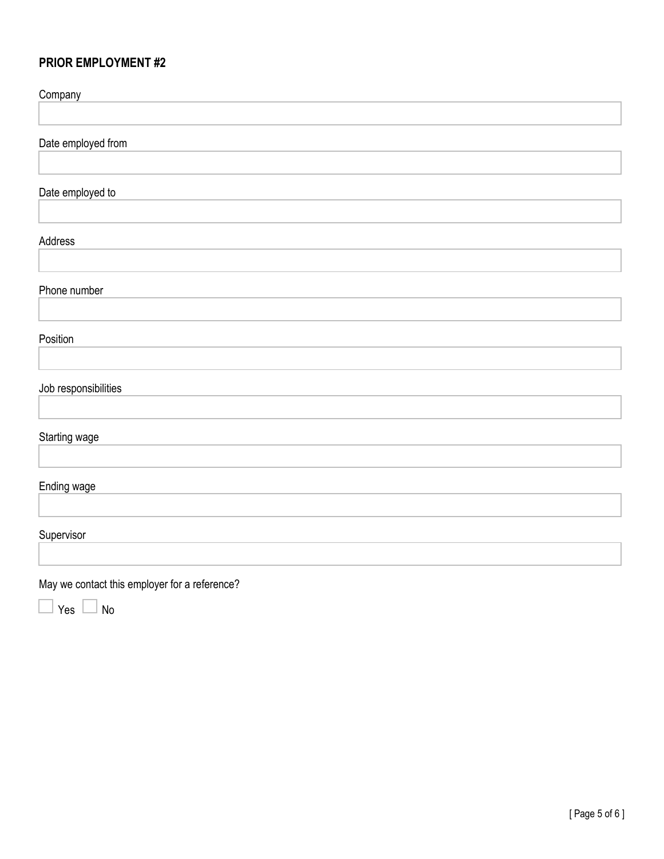### **PRIOR EMPLOYMENT #2**

| Company                                       |
|-----------------------------------------------|
|                                               |
| Date employed from                            |
|                                               |
|                                               |
| Date employed to                              |
|                                               |
| Address                                       |
|                                               |
|                                               |
| Phone number                                  |
|                                               |
| Position                                      |
|                                               |
|                                               |
| Job responsibilities                          |
|                                               |
| Starting wage                                 |
|                                               |
|                                               |
| Ending wage                                   |
|                                               |
| Supervisor                                    |
|                                               |
|                                               |
| May we contact this employer for a reference? |
| Yes<br><b>No</b>                              |